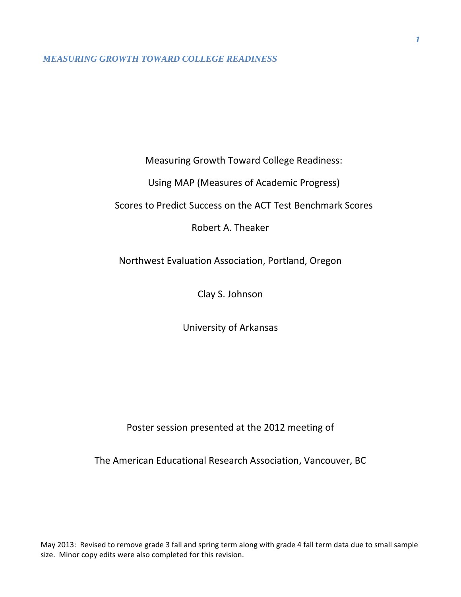Measuring Growth Toward College Readiness:

Using MAP (Measures of Academic Progress)

Scores to Predict Success on the ACT Test Benchmark Scores

Robert A. Theaker

Northwest Evaluation Association, Portland, Oregon

Clay S. Johnson

University of Arkansas

Poster session presented at the 2012 meeting of

The American Educational Research Association, Vancouver, BC

May 2013: Revised to remove grade 3 fall and spring term along with grade 4 fall term data due to small sample size. Minor copy edits were also completed for this revision.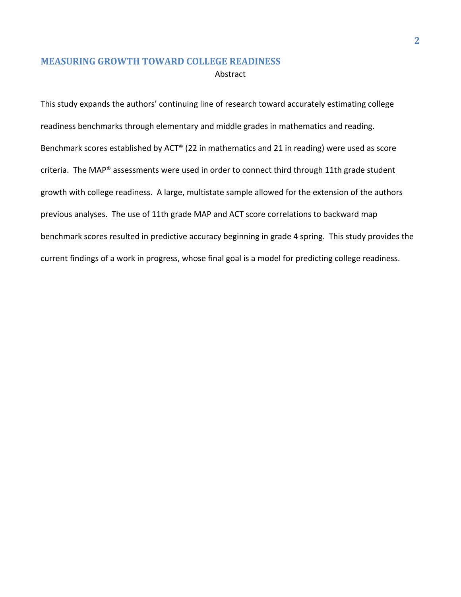This study expands the authors' continuing line of research toward accurately estimating college readiness benchmarks through elementary and middle grades in mathematics and reading. Benchmark scores established by ACT® (22 in mathematics and 21 in reading) were used as score criteria. The MAP® assessments were used in order to connect third through 11th grade student growth with college readiness. A large, multistate sample allowed for the extension of the authors previous analyses. The use of 11th grade MAP and ACT score correlations to backward map benchmark scores resulted in predictive accuracy beginning in grade 4 spring. This study provides the current findings of a work in progress, whose final goal is a model for predicting college readiness.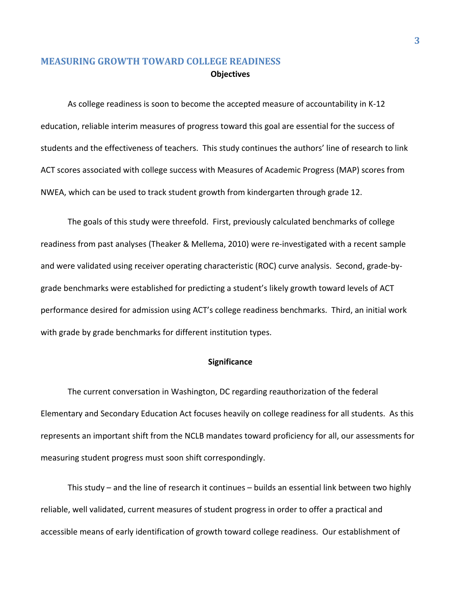# **MEASURING GROWTH TOWARD COLLEGE READINESS Objectives**

As college readiness is soon to become the accepted measure of accountability in K-12 education, reliable interim measures of progress toward this goal are essential for the success of students and the effectiveness of teachers. This study continues the authors' line of research to link ACT scores associated with college success with Measures of Academic Progress (MAP) scores from NWEA, which can be used to track student growth from kindergarten through grade 12.

The goals of this study were threefold. First, previously calculated benchmarks of college readiness from past analyses (Theaker & Mellema, 2010) were re-investigated with a recent sample and were validated using receiver operating characteristic (ROC) curve analysis. Second, grade-bygrade benchmarks were established for predicting a student's likely growth toward levels of ACT performance desired for admission using ACT's college readiness benchmarks. Third, an initial work with grade by grade benchmarks for different institution types.

### **Significance**

The current conversation in Washington, DC regarding reauthorization of the federal Elementary and Secondary Education Act focuses heavily on college readiness for all students. As this represents an important shift from the NCLB mandates toward proficiency for all, our assessments for measuring student progress must soon shift correspondingly.

This study – and the line of research it continues – builds an essential link between two highly reliable, well validated, current measures of student progress in order to offer a practical and accessible means of early identification of growth toward college readiness. Our establishment of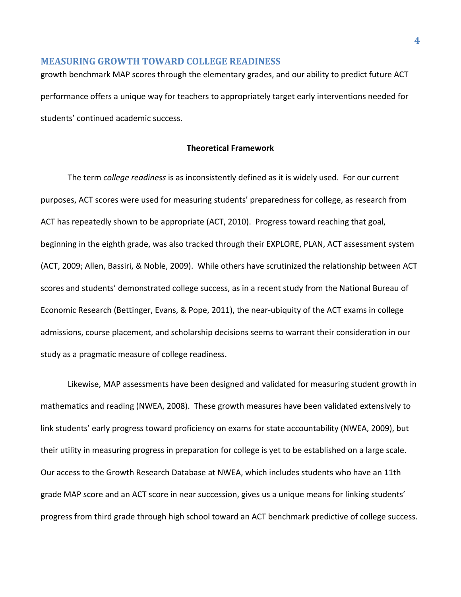growth benchmark MAP scores through the elementary grades, and our ability to predict future ACT performance offers a unique way for teachers to appropriately target early interventions needed for students' continued academic success.

### **Theoretical Framework**

The term *college readiness* is as inconsistently defined as it is widely used. For our current purposes, ACT scores were used for measuring students' preparedness for college, as research from ACT has repeatedly shown to be appropriate (ACT, 2010). Progress toward reaching that goal, beginning in the eighth grade, was also tracked through their EXPLORE, PLAN, ACT assessment system (ACT, 2009; Allen, Bassiri, & Noble, 2009). While others have scrutinized the relationship between ACT scores and students' demonstrated college success, as in a recent study from the National Bureau of Economic Research (Bettinger, Evans, & Pope, 2011), the near-ubiquity of the ACT exams in college admissions, course placement, and scholarship decisions seems to warrant their consideration in our study as a pragmatic measure of college readiness.

Likewise, MAP assessments have been designed and validated for measuring student growth in mathematics and reading (NWEA, 2008). These growth measures have been validated extensively to link students' early progress toward proficiency on exams for state accountability (NWEA, 2009), but their utility in measuring progress in preparation for college is yet to be established on a large scale. Our access to the Growth Research Database at NWEA, which includes students who have an 11th grade MAP score and an ACT score in near succession, gives us a unique means for linking students' progress from third grade through high school toward an ACT benchmark predictive of college success.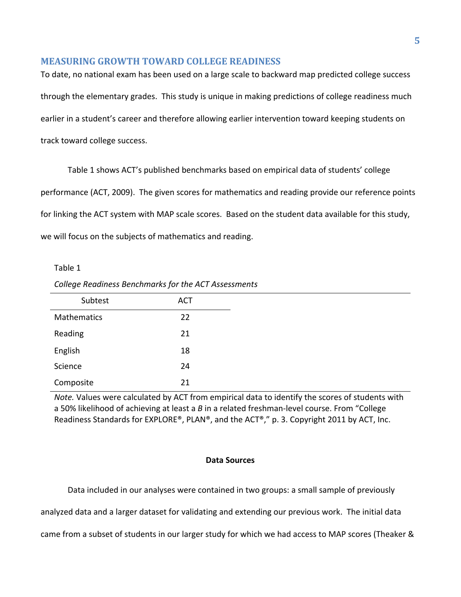To date, no national exam has been used on a large scale to backward map predicted college success through the elementary grades. This study is unique in making predictions of college readiness much earlier in a student's career and therefore allowing earlier intervention toward keeping students on track toward college success.

Table 1 shows ACT's published benchmarks based on empirical data of students' college performance (ACT, 2009). The given scores for mathematics and reading provide our reference points for linking the ACT system with MAP scale scores. Based on the student data available for this study, we will focus on the subjects of mathematics and reading.

#### Table 1

| College Readiness Benchmarks for the ACT Assessments |  |  |  |
|------------------------------------------------------|--|--|--|
|------------------------------------------------------|--|--|--|

| Subtest     | <b>ACT</b> |
|-------------|------------|
| Mathematics | 22         |
| Reading     | 21         |
| English     | 18         |
| Science     | 24         |
| Composite   | 21         |

*Note.* Values were calculated by ACT from empirical data to identify the scores of students with a 50% likelihood of achieving at least a *B* in a related freshman-level course. From "College Readiness Standards for EXPLORE®, PLAN®, and the ACT®," p. 3. Copyright 2011 by ACT, Inc.

### **Data Sources**

Data included in our analyses were contained in two groups: a small sample of previously

analyzed data and a larger dataset for validating and extending our previous work. The initial data

came from a subset of students in our larger study for which we had access to MAP scores (Theaker &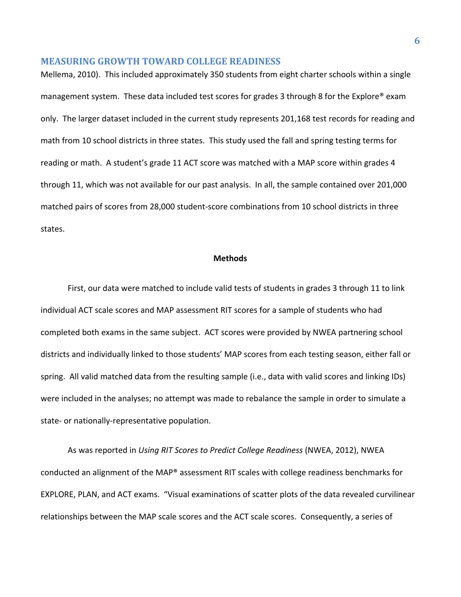Mellema, 2010). This included approximately 350 students from eight charter schools within a single management system. These data included test scores for grades 3 through 8 for the Explore® exam only. The larger dataset included in the current study represents 201,168 test records for reading and math from 10 school districts in three states. This study used the fall and spring testing terms for reading or math. A student's grade 11 ACT score was matched with a MAP score within grades 4 through 11, which was not available for our past analysis. In all, the sample contained over 201,000 matched pairs of scores from 28,000 student-score combinations from 10 school districts in three states.

### **Methods**

First, our data were matched to include valid tests of students in grades 3 through 11 to link individual ACT scale scores and MAP assessment RIT scores for a sample of students who had completed both exams in the same subject. ACT scores were provided by NWEA partnering school districts and individually linked to those students' MAP scores from each testing season, either fall or spring. All valid matched data from the resulting sample (i.e., data with valid scores and linking IDs) were included in the analyses; no attempt was made to rebalance the sample in order to simulate a state- or nationally-representative population.

As was reported in *Using RIT Scores to Predict College Readiness* (NWEA, 2012), NWEA conducted an alignment of the MAP® assessment RIT scales with college readiness benchmarks for EXPLORE, PLAN, and ACT exams. "Visual examinations of scatter plots of the data revealed curvilinear relationships between the MAP scale scores and the ACT scale scores. Consequently, a series of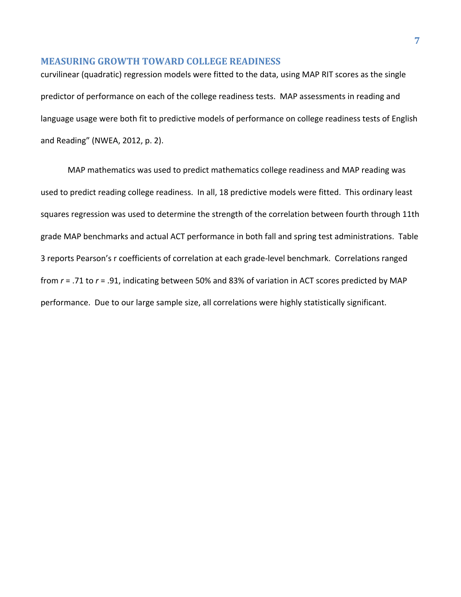curvilinear (quadratic) regression models were fitted to the data, using MAP RIT scores as the single predictor of performance on each of the college readiness tests. MAP assessments in reading and language usage were both fit to predictive models of performance on college readiness tests of English and Reading" (NWEA, 2012, p. 2).

MAP mathematics was used to predict mathematics college readiness and MAP reading was used to predict reading college readiness. In all, 18 predictive models were fitted. This ordinary least squares regression was used to determine the strength of the correlation between fourth through 11th grade MAP benchmarks and actual ACT performance in both fall and spring test administrations. Table 3 reports Pearson's r coefficients of correlation at each grade-level benchmark. Correlations ranged from *r* = .71 to *r* = .91, indicating between 50% and 83% of variation in ACT scores predicted by MAP performance. Due to our large sample size, all correlations were highly statistically significant.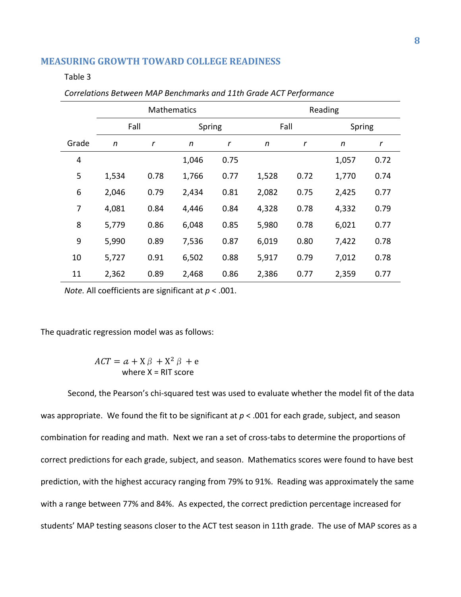#### Table 3

|                | <b>Mathematics</b> |             |        |      | Reading |      |        |      |
|----------------|--------------------|-------------|--------|------|---------|------|--------|------|
|                | Fall               |             | Spring |      | Fall    |      | Spring |      |
| Grade          | n                  | $\mathbf r$ | n      | r    | n       | r    | n      | r    |
| $\overline{4}$ |                    |             | 1,046  | 0.75 |         |      | 1,057  | 0.72 |
| 5              | 1,534              | 0.78        | 1,766  | 0.77 | 1,528   | 0.72 | 1,770  | 0.74 |
| 6              | 2,046              | 0.79        | 2,434  | 0.81 | 2,082   | 0.75 | 2,425  | 0.77 |
| 7              | 4,081              | 0.84        | 4,446  | 0.84 | 4,328   | 0.78 | 4,332  | 0.79 |
| 8              | 5,779              | 0.86        | 6,048  | 0.85 | 5,980   | 0.78 | 6,021  | 0.77 |
| 9              | 5,990              | 0.89        | 7,536  | 0.87 | 6,019   | 0.80 | 7,422  | 0.78 |
| 10             | 5,727              | 0.91        | 6,502  | 0.88 | 5,917   | 0.79 | 7,012  | 0.78 |
| 11             | 2,362              | 0.89        | 2,468  | 0.86 | 2,386   | 0.77 | 2,359  | 0.77 |

*Correlations Between MAP Benchmarks and 11th Grade ACT Performance*

*Note.* All coefficients are significant at *p* < .001.

The quadratic regression model was as follows:

 $ACT = a + X\beta + X^2\beta + e$ where  $X = RIT$  score

Second, the Pearson's chi-squared test was used to evaluate whether the model fit of the data was appropriate. We found the fit to be significant at  $p < .001$  for each grade, subject, and season combination for reading and math. Next we ran a set of cross-tabs to determine the proportions of correct predictions for each grade, subject, and season. Mathematics scores were found to have best prediction, with the highest accuracy ranging from 79% to 91%. Reading was approximately the same with a range between 77% and 84%. As expected, the correct prediction percentage increased for students' MAP testing seasons closer to the ACT test season in 11th grade. The use of MAP scores as a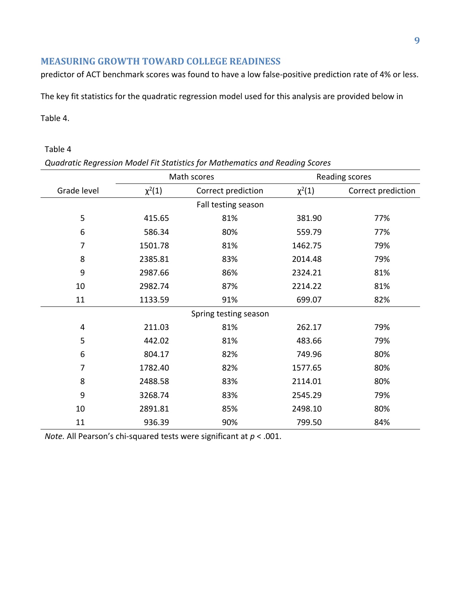predictor of ACT benchmark scores was found to have a low false-positive prediction rate of 4% or less.

The key fit statistics for the quadratic regression model used for this analysis are provided below in

## Table 4.

## Table 4

| Quadratic Regression Model Fit Statistics for Mathematics and Reading Scores |  |  |
|------------------------------------------------------------------------------|--|--|
|------------------------------------------------------------------------------|--|--|

|                       | Math scores                       |                     | Reading scores |                    |  |
|-----------------------|-----------------------------------|---------------------|----------------|--------------------|--|
| Grade level           | $\chi^2(1)$<br>Correct prediction |                     | $\chi^2(1)$    | Correct prediction |  |
|                       |                                   | Fall testing season |                |                    |  |
| 5                     | 415.65                            | 81%                 | 381.90         | 77%                |  |
| 6                     | 586.34                            | 80%                 | 559.79         | 77%                |  |
| 7                     | 1501.78                           | 81%                 | 1462.75        | 79%                |  |
| 8                     | 2385.81                           | 83%                 | 2014.48        | 79%                |  |
| 9                     | 2987.66                           | 86%                 | 2324.21        | 81%                |  |
| 10                    | 2982.74                           | 87%                 | 2214.22        | 81%                |  |
| 11                    | 1133.59                           | 91%                 | 699.07         | 82%                |  |
| Spring testing season |                                   |                     |                |                    |  |
| 4                     | 211.03                            | 81%                 | 262.17         | 79%                |  |
| 5                     | 442.02                            | 81%                 | 483.66         | 79%                |  |
| 6                     | 804.17                            | 82%                 | 749.96         | 80%                |  |
| $\overline{7}$        | 1782.40                           | 82%                 | 1577.65        | 80%                |  |
| 8                     | 2488.58                           | 83%                 | 2114.01        | 80%                |  |
| 9                     | 3268.74                           | 83%                 | 2545.29        | 79%                |  |
| 10                    | 2891.81                           | 85%                 | 2498.10        | 80%                |  |
| 11                    | 936.39                            | 90%                 | 799.50         | 84%                |  |

*Note.* All Pearson's chi-squared tests were significant at *p* < .001.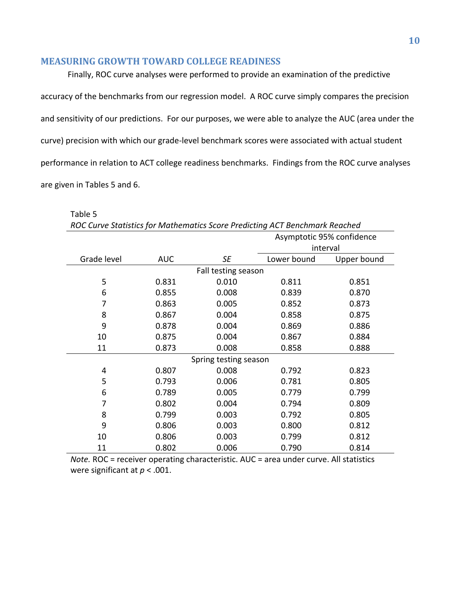Finally, ROC curve analyses were performed to provide an examination of the predictive accuracy of the benchmarks from our regression model. A ROC curve simply compares the precision and sensitivity of our predictions. For our purposes, we were able to analyze the AUC (area under the curve) precision with which our grade-level benchmark scores were associated with actual student performance in relation to ACT college readiness benchmarks. Findings from the ROC curve analyses are given in Tables 5 and 6.

Table 5

*ROC Curve Statistics for Mathematics Score Predicting ACT Benchmark Reached*

|             |            |                       | Asymptotic 95% confidence |             |  |
|-------------|------------|-----------------------|---------------------------|-------------|--|
|             |            |                       | interval                  |             |  |
| Grade level | <b>AUC</b> | <b>SE</b>             | Lower bound               | Upper bound |  |
|             |            | Fall testing season   |                           |             |  |
| 5           | 0.831      | 0.010                 | 0.811                     | 0.851       |  |
| 6           | 0.855      | 0.008                 | 0.839                     | 0.870       |  |
| 7           | 0.863      | 0.005                 | 0.852                     | 0.873       |  |
| 8           | 0.867      | 0.004                 | 0.858                     | 0.875       |  |
| 9           | 0.878      | 0.004                 | 0.869                     | 0.886       |  |
| 10          | 0.875      | 0.004                 | 0.867                     | 0.884       |  |
| 11          | 0.873      | 0.008                 | 0.858                     | 0.888       |  |
|             |            | Spring testing season |                           |             |  |
| 4           | 0.807      | 0.008                 | 0.792                     | 0.823       |  |
| 5           | 0.793      | 0.006                 | 0.781                     | 0.805       |  |
| 6           | 0.789      | 0.005                 | 0.779                     | 0.799       |  |
| 7           | 0.802      | 0.004                 | 0.794                     | 0.809       |  |
| 8           | 0.799      | 0.003                 | 0.792                     | 0.805       |  |
| 9           | 0.806      | 0.003                 | 0.800                     | 0.812       |  |
| 10          | 0.806      | 0.003                 | 0.799                     | 0.812       |  |
| 11          | 0.802      | 0.006                 | 0.790                     | 0.814       |  |

*Note.* ROC = receiver operating characteristic. AUC = area under curve. All statistics were significant at *p* < .001.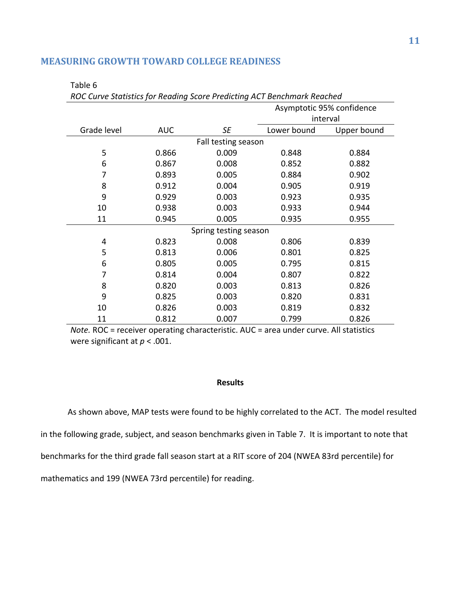# Asymptotic 95% confidence interval Grade level AUC *SE* Lower bound Upper bound Fall testing season 5 0.866 0.009 0.848 0.884 6 0.867 0.008 0.852 0.882 7 0.893 0.005 0.884 0.902 8 0.912 0.004 0.905 0.919 9 0.929 0.003 0.923 0.935 10 0.938 0.003 0.933 0.944 11 0.945 0.005 0.935 0.955 Spring testing season 4 0.823 0.008 0.806 0.839 5 0.813 0.006 0.801 0.825 6 0.805 0.005 0.795 0.815 7 0.814 0.004 0.807 0.822 8 0.820 0.003 0.813 0.826 9 0.825 0.003 0.820 0.831 10 0.826 0.003 0.819 0.832 11 0.812 0.007 0.799 0.826

*ROC Curve Statistics for Reading Score Predicting ACT Benchmark Reached*

### **MEASURING GROWTH TOWARD COLLEGE READINESS**

Table 6

*Note.* ROC = receiver operating characteristic. AUC = area under curve. All statistics were significant at *p* < .001.

#### **Results**

As shown above, MAP tests were found to be highly correlated to the ACT. The model resulted in the following grade, subject, and season benchmarks given in Table 7. It is important to note that benchmarks for the third grade fall season start at a RIT score of 204 (NWEA 83rd percentile) for mathematics and 199 (NWEA 73rd percentile) for reading.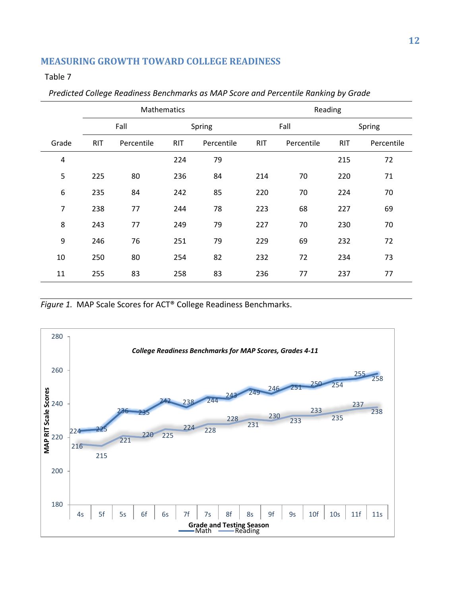Table 7

|                | Mathematics |            |            | Reading    |            |            |            |            |
|----------------|-------------|------------|------------|------------|------------|------------|------------|------------|
|                |             | Fall       |            | Spring     |            | Fall       |            | Spring     |
| Grade          | <b>RIT</b>  | Percentile | <b>RIT</b> | Percentile | <b>RIT</b> | Percentile | <b>RIT</b> | Percentile |
| $\overline{a}$ |             |            | 224        | 79         |            |            | 215        | 72         |
| 5              | 225         | 80         | 236        | 84         | 214        | 70         | 220        | 71         |
| 6              | 235         | 84         | 242        | 85         | 220        | 70         | 224        | 70         |
| 7              | 238         | 77         | 244        | 78         | 223        | 68         | 227        | 69         |
| 8              | 243         | 77         | 249        | 79         | 227        | 70         | 230        | 70         |
| 9              | 246         | 76         | 251        | 79         | 229        | 69         | 232        | 72         |
| 10             | 250         | 80         | 254        | 82         | 232        | 72         | 234        | 73         |
| 11             | 255         | 83         | 258        | 83         | 236        | 77         | 237        | 77         |

# *Predicted College Readiness Benchmarks as MAP Score and Percentile Ranking by Grade*

*Figure 1.* MAP Scale Scores for ACT® College Readiness Benchmarks.

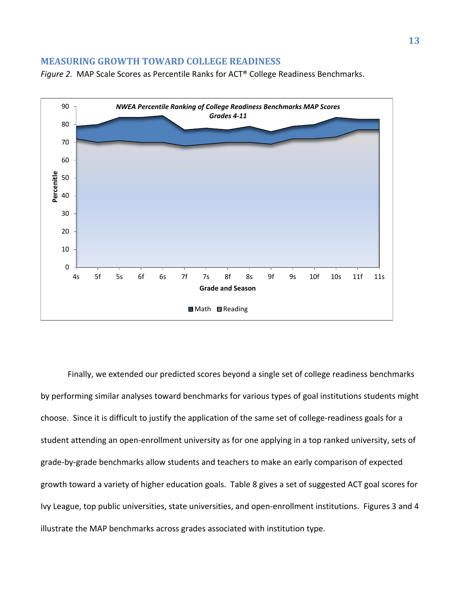*Figure 2.* MAP Scale Scores as Percentile Ranks for ACT® College Readiness Benchmarks.



Finally, we extended our predicted scores beyond a single set of college readiness benchmarks by performing similar analyses toward benchmarks for various types of goal institutions students might choose. Since it is difficult to justify the application of the same set of college-readiness goals for a student attending an open-enrollment university as for one applying in a top ranked university, sets of grade-by-grade benchmarks allow students and teachers to make an early comparison of expected growth toward a variety of higher education goals. Table 8 gives a set of suggested ACT goal scores for Ivy League, top public universities, state universities, and open-enrollment institutions. Figures 3 and 4 illustrate the MAP benchmarks across grades associated with institution type.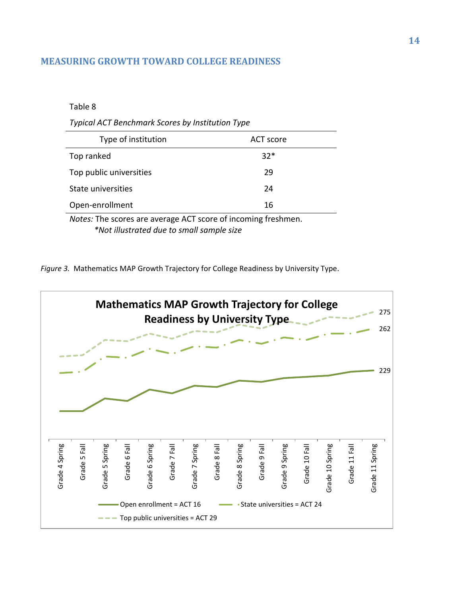## Table 8

*Typical ACT Benchmark Scores by Institution Type* 

| Type of institution     | ACT score |
|-------------------------|-----------|
| Top ranked              | $32*$     |
| Top public universities | 29        |
| State universities      | 24        |
| Open-enrollment         | 16        |
| $\cdots$<br>--          | .         |

*Notes:* The scores are average ACT score of incoming freshmen. *\*Not illustrated due to small sample size* 

*Figure 3.* Mathematics MAP Growth Trajectory for College Readiness by University Type.

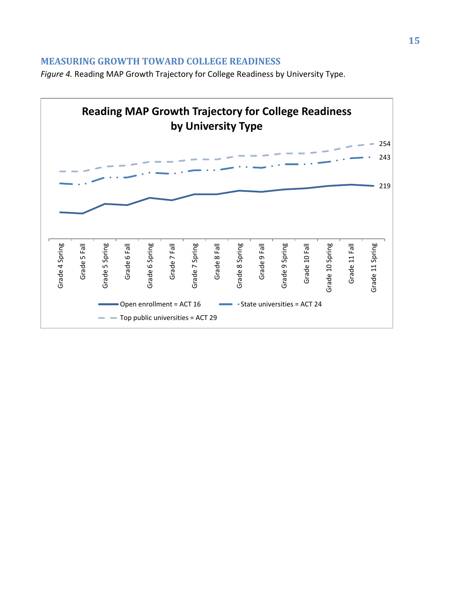*Figure 4.* Reading MAP Growth Trajectory for College Readiness by University Type.